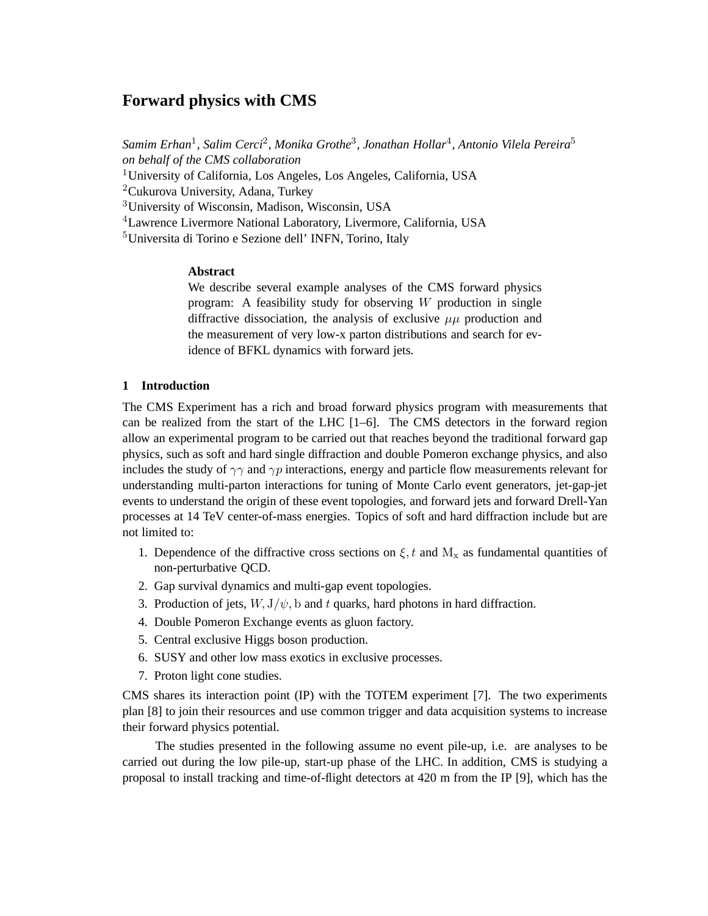# **Forward physics with CMS**

Samim Erhan<sup>1</sup>, Salim Cerci<sup>2</sup>, Monika Grothe<sup>3</sup>, Jonathan Hollar<sup>4</sup>, Antonio Vilela Pereira<sup>5</sup> *on behalf of the CMS collaboration* <sup>1</sup>University of California, Los Angeles, Los Angeles, California, USA <sup>2</sup>Cukurova University, Adana, Turkey <sup>3</sup>University of Wisconsin, Madison, Wisconsin, USA <sup>4</sup>Lawrence Livermore National Laboratory, Livermore, California, USA <sup>5</sup>Universita di Torino e Sezione dell' INFN, Torino, Italy

# **Abstract**

We describe several example analyses of the CMS forward physics program: A feasibility study for observing W production in single diffractive dissociation, the analysis of exclusive  $\mu\mu$  production and the measurement of very low-x parton distributions and search for evidence of BFKL dynamics with forward jets.

# **1 Introduction**

The CMS Experiment has a rich and broad forward physics program with measurements that can be realized from the start of the LHC [1–6]. The CMS detectors in the forward region allow an experimental program to be carried out that reaches beyond the traditional forward gap physics, such as soft and hard single diffraction and double Pomeron exchange physics, and also includes the study of  $\gamma\gamma$  and  $\gamma p$  interactions, energy and particle flow measurements relevant for understanding multi-parton interactions for tuning of Monte Carlo event generators, jet-gap-jet events to understand the origin of these event topologies, and forward jets and forward Drell-Yan processes at 14 TeV center-of-mass energies. Topics of soft and hard diffraction include but are not limited to:

- 1. Dependence of the diffractive cross sections on  $\xi$ , t and  $M_x$  as fundamental quantities of non-perturbative QCD.
- 2. Gap survival dynamics and multi-gap event topologies.
- 3. Production of jets,  $W$ ,  $J/\psi$ , b and t quarks, hard photons in hard diffraction.
- 4. Double Pomeron Exchange events as gluon factory.
- 5. Central exclusive Higgs boson production.
- 6. SUSY and other low mass exotics in exclusive processes.
- 7. Proton light cone studies.

CMS shares its interaction point (IP) with the TOTEM experiment [7]. The two experiments plan [8] to join their resources and use common trigger and data acquisition systems to increase their forward physics potential.

The studies presented in the following assume no event pile-up, i.e. are analyses to be carried out during the low pile-up, start-up phase of the LHC. In addition, CMS is studying a proposal to install tracking and time-of-flight detectors at 420 m from the IP [9], which has the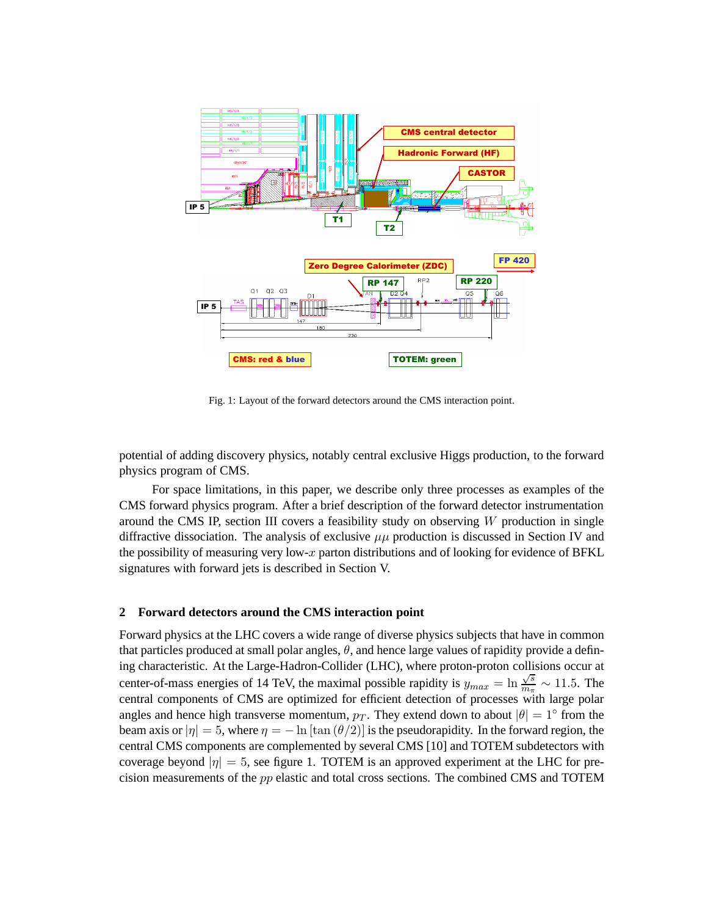

Fig. 1: Layout of the forward detectors around the CMS interaction point.

potential of adding discovery physics, notably central exclusive Higgs production, to the forward physics program of CMS.

For space limitations, in this paper, we describe only three processes as examples of the CMS forward physics program. After a brief description of the forward detector instrumentation around the CMS IP, section III covers a feasibility study on observing  $W$  production in single diffractive dissociation. The analysis of exclusive  $\mu\mu$  production is discussed in Section IV and the possibility of measuring very low- $x$  parton distributions and of looking for evidence of BFKL signatures with forward jets is described in Section V.

## **2 Forward detectors around the CMS interaction point**

Forward physics at the LHC covers a wide range of diverse physics subjects that have in common that particles produced at small polar angles,  $\theta$ , and hence large values of rapidity provide a defining characteristic. At the Large-Hadron-Collider (LHC), where proton-proton collisions occur at center-of-mass energies of 14 TeV, the maximal possible rapidity is  $y_{max} = \ln \frac{\sqrt{s}}{m_{\pi}}$  $\frac{\sqrt{s}}{m_{\pi}} \sim 11.5$ . The central components of CMS are optimized for efficient detection of processes with large polar angles and hence high transverse momentum,  $p_T$ . They extend down to about  $|\theta| = 1^{\circ}$  from the beam axis or  $|\eta| = 5$ , where  $\eta = -\ln[\tan(\theta/2)]$  is the pseudorapidity. In the forward region, the central CMS components are complemented by several CMS [10] and TOTEM subdetectors with coverage beyond  $|\eta| = 5$ , see figure 1. TOTEM is an approved experiment at the LHC for precision measurements of the pp elastic and total cross sections. The combined CMS and TOTEM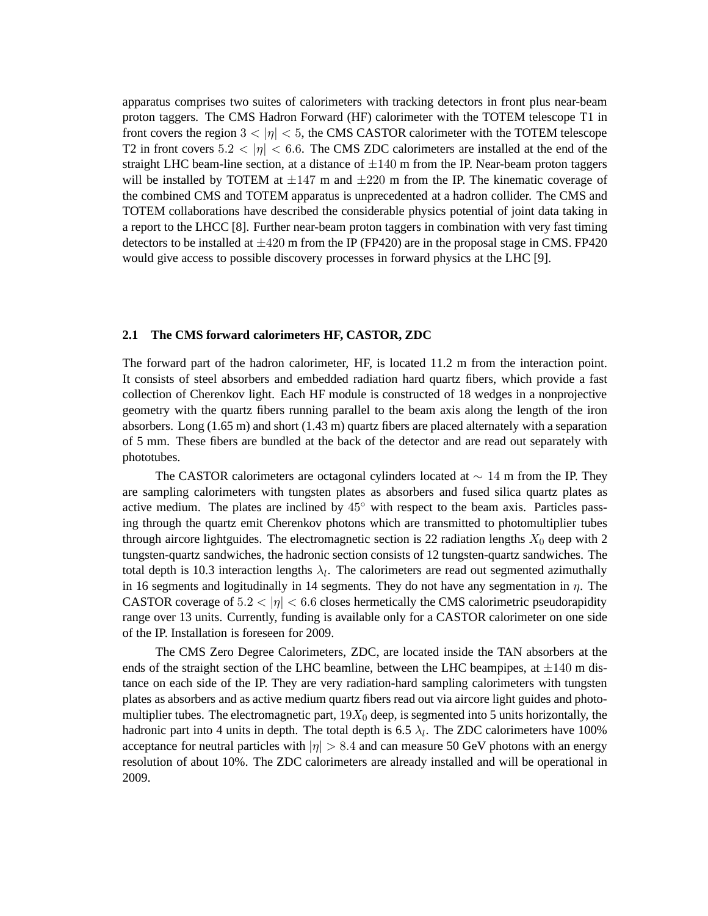apparatus comprises two suites of calorimeters with tracking detectors in front plus near-beam proton taggers. The CMS Hadron Forward (HF) calorimeter with the TOTEM telescope T1 in front covers the region  $3 < |\eta| < 5$ , the CMS CASTOR calorimeter with the TOTEM telescope T2 in front covers  $5.2 < |\eta| < 6.6$ . The CMS ZDC calorimeters are installed at the end of the straight LHC beam-line section, at a distance of  $\pm 140$  m from the IP. Near-beam proton taggers will be installed by TOTEM at  $\pm 147$  m and  $\pm 220$  m from the IP. The kinematic coverage of the combined CMS and TOTEM apparatus is unprecedented at a hadron collider. The CMS and TOTEM collaborations have described the considerable physics potential of joint data taking in a report to the LHCC [8]. Further near-beam proton taggers in combination with very fast timing detectors to be installed at  $\pm 420$  m from the IP (FP420) are in the proposal stage in CMS. FP420 would give access to possible discovery processes in forward physics at the LHC [9].

### **2.1 The CMS forward calorimeters HF, CASTOR, ZDC**

The forward part of the hadron calorimeter, HF, is located 11.2 m from the interaction point. It consists of steel absorbers and embedded radiation hard quartz fibers, which provide a fast collection of Cherenkov light. Each HF module is constructed of 18 wedges in a nonprojective geometry with the quartz fibers running parallel to the beam axis along the length of the iron absorbers. Long (1.65 m) and short (1.43 m) quartz fibers are placed alternately with a separation of 5 mm. These fibers are bundled at the back of the detector and are read out separately with phototubes.

The CASTOR calorimeters are octagonal cylinders located at  $\sim 14$  m from the IP. They are sampling calorimeters with tungsten plates as absorbers and fused silica quartz plates as active medium. The plates are inclined by  $45^\circ$  with respect to the beam axis. Particles passing through the quartz emit Cherenkov photons which are transmitted to photomultiplier tubes through aircore lightguides. The electromagnetic section is 22 radiation lengths  $X_0$  deep with 2 tungsten-quartz sandwiches, the hadronic section consists of 12 tungsten-quartz sandwiches. The total depth is 10.3 interaction lengths  $\lambda_l$ . The calorimeters are read out segmented azimuthally in 16 segments and logitudinally in 14 segments. They do not have any segmentation in  $\eta$ . The CASTOR coverage of  $5.2 < |\eta| < 6.6$  closes hermetically the CMS calorimetric pseudorapidity range over 13 units. Currently, funding is available only for a CASTOR calorimeter on one side of the IP. Installation is foreseen for 2009.

The CMS Zero Degree Calorimeters, ZDC, are located inside the TAN absorbers at the ends of the straight section of the LHC beamline, between the LHC beampipes, at  $\pm 140$  m distance on each side of the IP. They are very radiation-hard sampling calorimeters with tungsten plates as absorbers and as active medium quartz fibers read out via aircore light guides and photomultiplier tubes. The electromagnetic part,  $19X_0$  deep, is segmented into 5 units horizontally, the hadronic part into 4 units in depth. The total depth is 6.5  $\lambda_l$ . The ZDC calorimeters have 100% acceptance for neutral particles with  $|\eta| > 8.4$  and can measure 50 GeV photons with an energy resolution of about 10%. The ZDC calorimeters are already installed and will be operational in 2009.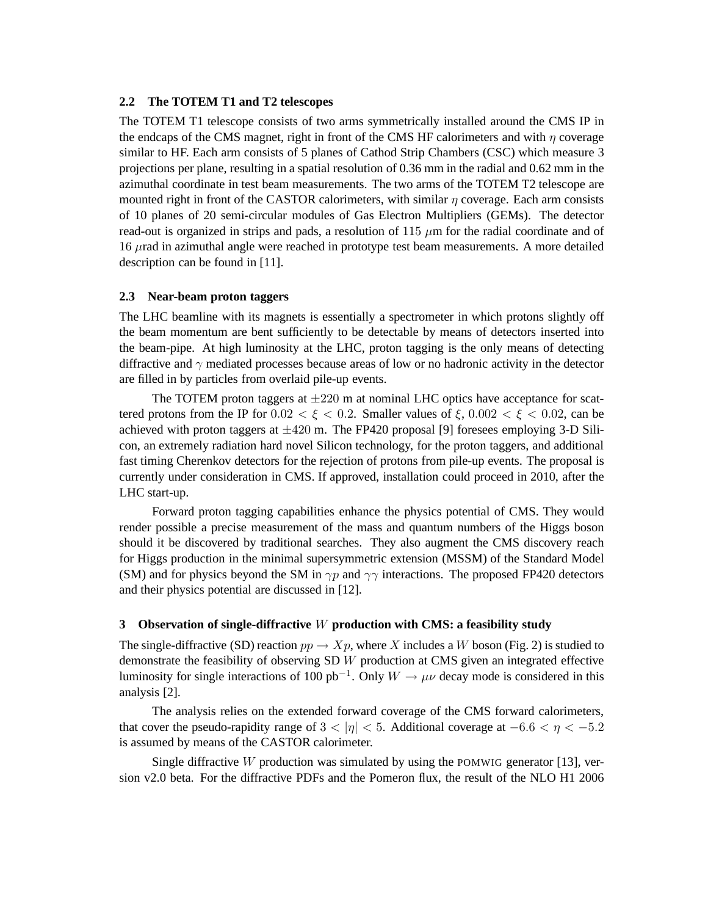# **2.2 The TOTEM T1 and T2 telescopes**

The TOTEM T1 telescope consists of two arms symmetrically installed around the CMS IP in the endcaps of the CMS magnet, right in front of the CMS HF calorimeters and with  $\eta$  coverage similar to HF. Each arm consists of 5 planes of Cathod Strip Chambers (CSC) which measure 3 projections per plane, resulting in a spatial resolution of 0.36 mm in the radial and 0.62 mm in the azimuthal coordinate in test beam measurements. The two arms of the TOTEM T2 telescope are mounted right in front of the CASTOR calorimeters, with similar  $\eta$  coverage. Each arm consists of 10 planes of 20 semi-circular modules of Gas Electron Multipliers (GEMs). The detector read-out is organized in strips and pads, a resolution of 115  $\mu$ m for the radial coordinate and of  $16 \mu$ rad in azimuthal angle were reached in prototype test beam measurements. A more detailed description can be found in [11].

#### **2.3 Near-beam proton taggers**

The LHC beamline with its magnets is essentially a spectrometer in which protons slightly off the beam momentum are bent sufficiently to be detectable by means of detectors inserted into the beam-pipe. At high luminosity at the LHC, proton tagging is the only means of detecting diffractive and  $\gamma$  mediated processes because areas of low or no hadronic activity in the detector are filled in by particles from overlaid pile-up events.

The TOTEM proton taggers at  $\pm 220$  m at nominal LHC optics have acceptance for scattered protons from the IP for  $0.02 < \xi < 0.2$ . Smaller values of  $\xi$ ,  $0.002 < \xi < 0.02$ , can be achieved with proton taggers at  $\pm 420$  m. The FP420 proposal [9] foresees employing 3-D Silicon, an extremely radiation hard novel Silicon technology, for the proton taggers, and additional fast timing Cherenkov detectors for the rejection of protons from pile-up events. The proposal is currently under consideration in CMS. If approved, installation could proceed in 2010, after the LHC start-up.

Forward proton tagging capabilities enhance the physics potential of CMS. They would render possible a precise measurement of the mass and quantum numbers of the Higgs boson should it be discovered by traditional searches. They also augment the CMS discovery reach for Higgs production in the minimal supersymmetric extension (MSSM) of the Standard Model (SM) and for physics beyond the SM in  $\gamma p$  and  $\gamma \gamma$  interactions. The proposed FP420 detectors and their physics potential are discussed in [12].

# **3 Observation of single-diffractive** W **production with CMS: a feasibility study**

The single-diffractive (SD) reaction  $pp \to Xp$ , where X includes a W boson (Fig. 2) is studied to demonstrate the feasibility of observing SD W production at CMS given an integrated effective luminosity for single interactions of 100 pb<sup>-1</sup>. Only  $W \to \mu\nu$  decay mode is considered in this analysis [2].

The analysis relies on the extended forward coverage of the CMS forward calorimeters, that cover the pseudo-rapidity range of  $3 < |\eta| < 5$ . Additional coverage at  $-6.6 < \eta < -5.2$ is assumed by means of the CASTOR calorimeter.

Single diffractive  $W$  production was simulated by using the POMWIG generator [13], version v2.0 beta. For the diffractive PDFs and the Pomeron flux, the result of the NLO H1 2006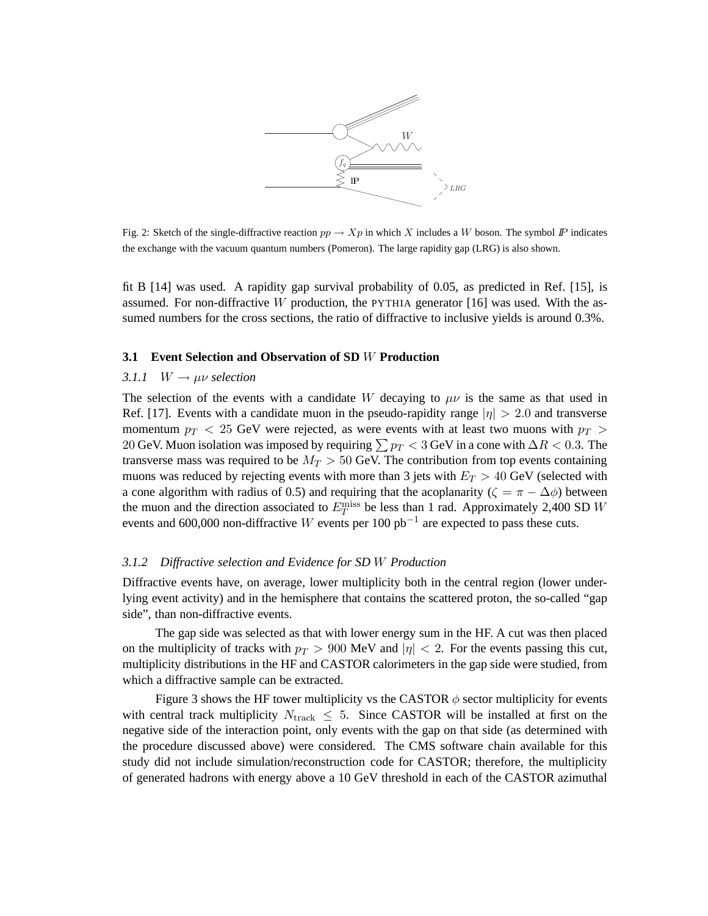

Fig. 2: Sketch of the single-diffractive reaction  $pp \to Xp$  in which X includes a W boson. The symbol  $\mathbb P$  indicates the exchange with the vacuum quantum numbers (Pomeron). The large rapidity gap (LRG) is also shown.

fit B [14] was used. A rapidity gap survival probability of 0.05, as predicted in Ref. [15], is assumed. For non-diffractive W production, the PYTHIA generator  $[16]$  was used. With the assumed numbers for the cross sections, the ratio of diffractive to inclusive yields is around 0.3%.

### **3.1 Event Selection and Observation of SD** W **Production**

# *3.1.1*  $W \rightarrow \mu \nu$  *selection*

The selection of the events with a candidate W decaying to  $\mu\nu$  is the same as that used in Ref. [17]. Events with a candidate muon in the pseudo-rapidity range  $|\eta| > 2.0$  and transverse momentum  $p_T < 25$  GeV were rejected, as were events with at least two muons with  $p_T >$ 20 GeV. Muon isolation was imposed by requiring  $\sum p_T < 3$  GeV in a cone with  $\Delta R < 0.3$ . The transverse mass was required to be  $M_T > 50$  GeV. The contribution from top events containing muons was reduced by rejecting events with more than 3 jets with  $E_T > 40$  GeV (selected with a cone algorithm with radius of 0.5) and requiring that the acoplanarity ( $\zeta = \pi - \Delta \phi$ ) between the muon and the direction associated to  $E_T^{\text{miss}}$  be less than 1 rad. Approximately 2,400 SD W events and 600,000 non-diffractive W events per 100  $pb^{-1}$  are expected to pass these cuts.

# *3.1.2 Diffractive selection and Evidence for SD* W *Production*

Diffractive events have, on average, lower multiplicity both in the central region (lower underlying event activity) and in the hemisphere that contains the scattered proton, the so-called "gap side", than non-diffractive events.

The gap side was selected as that with lower energy sum in the HF. A cut was then placed on the multiplicity of tracks with  $p_T > 900$  MeV and  $|\eta| < 2$ . For the events passing this cut, multiplicity distributions in the HF and CASTOR calorimeters in the gap side were studied, from which a diffractive sample can be extracted.

Figure 3 shows the HF tower multiplicity vs the CASTOR  $\phi$  sector multiplicity for events with central track multiplicity  $N_{\text{track}} \leq 5$ . Since CASTOR will be installed at first on the negative side of the interaction point, only events with the gap on that side (as determined with the procedure discussed above) were considered. The CMS software chain available for this study did not include simulation/reconstruction code for CASTOR; therefore, the multiplicity of generated hadrons with energy above a 10 GeV threshold in each of the CASTOR azimuthal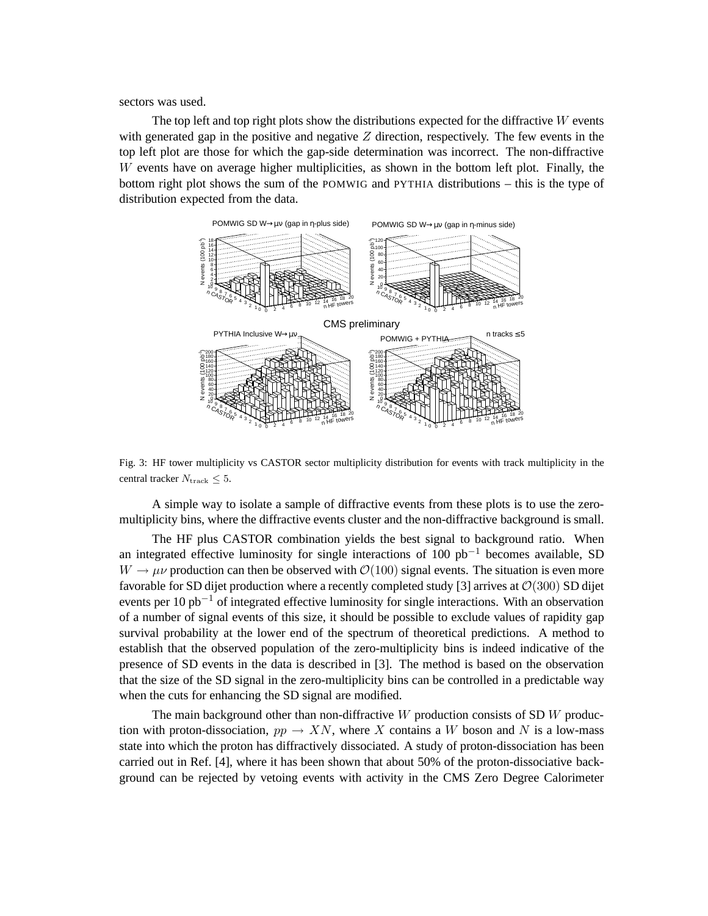sectors was used.

The top left and top right plots show the distributions expected for the diffractive  $W$  events with generated gap in the positive and negative  $Z$  direction, respectively. The few events in the top left plot are those for which the gap-side determination was incorrect. The non-diffractive W events have on average higher multiplicities, as shown in the bottom left plot. Finally, the bottom right plot shows the sum of the POMWIG and PYTHIA distributions – this is the type of distribution expected from the data.



Fig. 3: HF tower multiplicity vs CASTOR sector multiplicity distribution for events with track multiplicity in the central tracker  $N_{\text{track}} \leq 5$ .

A simple way to isolate a sample of diffractive events from these plots is to use the zeromultiplicity bins, where the diffractive events cluster and the non-diffractive background is small.

The HF plus CASTOR combination yields the best signal to background ratio. When an integrated effective luminosity for single interactions of 100  $pb<sup>-1</sup>$  becomes available, SD  $W \to \mu\nu$  production can then be observed with  $\mathcal{O}(100)$  signal events. The situation is even more favorable for SD dijet production where a recently completed study [3] arrives at  $\mathcal{O}(300)$  SD dijet events per 10 pb<sup>-1</sup> of integrated effective luminosity for single interactions. With an observation of a number of signal events of this size, it should be possible to exclude values of rapidity gap survival probability at the lower end of the spectrum of theoretical predictions. A method to establish that the observed population of the zero-multiplicity bins is indeed indicative of the presence of SD events in the data is described in [3]. The method is based on the observation that the size of the SD signal in the zero-multiplicity bins can be controlled in a predictable way when the cuts for enhancing the SD signal are modified.

The main background other than non-diffractive  $W$  production consists of SD  $W$  production with proton-dissociation,  $pp \rightarrow XN$ , where X contains a W boson and N is a low-mass state into which the proton has diffractively dissociated. A study of proton-dissociation has been carried out in Ref. [4], where it has been shown that about 50% of the proton-dissociative background can be rejected by vetoing events with activity in the CMS Zero Degree Calorimeter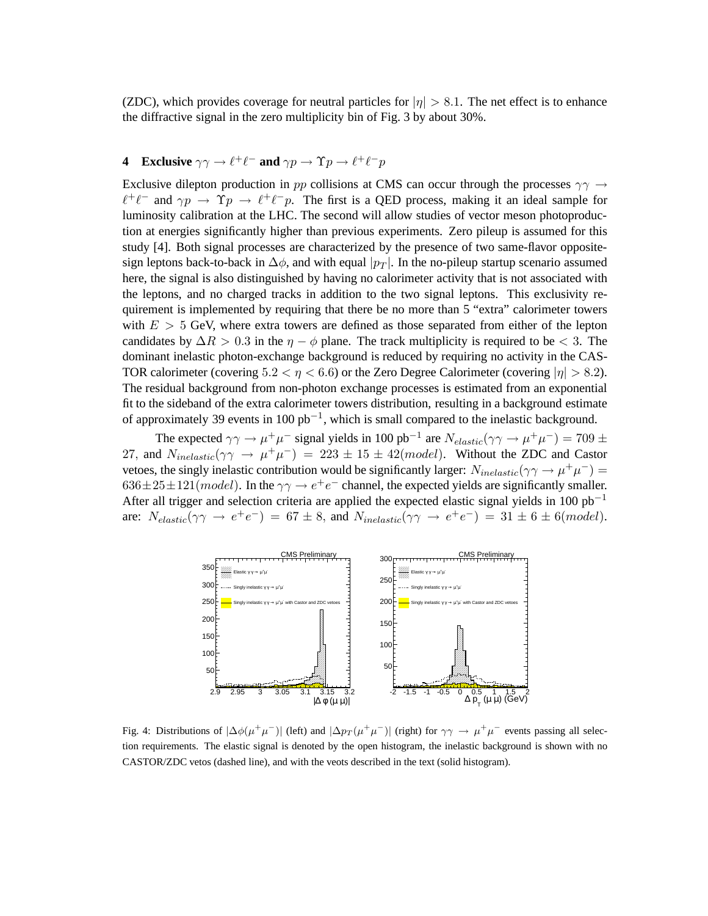(ZDC), which provides coverage for neutral particles for  $|\eta| > 8.1$ . The net effect is to enhance the diffractive signal in the zero multiplicity bin of Fig. 3 by about 30%.

# **4** Exclusive  $\gamma \gamma \to \ell^+ \ell^-$  and  $\gamma p \to \gamma p \to \ell^+ \ell^- p$

Exclusive dilepton production in pp collisions at CMS can occur through the processes  $\gamma\gamma \rightarrow$  $\ell^+\ell^-$  and  $\gamma p \to \gamma p \to \ell^+\ell^- p$ . The first is a QED process, making it an ideal sample for luminosity calibration at the LHC. The second will allow studies of vector meson photoproduction at energies significantly higher than previous experiments. Zero pileup is assumed for this study [4]. Both signal processes are characterized by the presence of two same-flavor oppositesign leptons back-to-back in  $\Delta\phi$ , and with equal  $|p_T|$ . In the no-pileup startup scenario assumed here, the signal is also distinguished by having no calorimeter activity that is not associated with the leptons, and no charged tracks in addition to the two signal leptons. This exclusivity requirement is implemented by requiring that there be no more than 5 "extra" calorimeter towers with  $E > 5$  GeV, where extra towers are defined as those separated from either of the lepton candidates by  $\Delta R > 0.3$  in the  $\eta - \phi$  plane. The track multiplicity is required to be < 3. The dominant inelastic photon-exchange background is reduced by requiring no activity in the CAS-TOR calorimeter (covering  $5.2 < \eta < 6.6$ ) or the Zero Degree Calorimeter (covering  $|\eta| > 8.2$ ). The residual background from non-photon exchange processes is estimated from an exponential fit to the sideband of the extra calorimeter towers distribution, resulting in a background estimate of approximately 39 events in 100  $pb^{-1}$ , which is small compared to the inelastic background.

The expected  $\gamma\gamma \to \mu^+\mu^-$  signal yields in 100 pb<sup>-1</sup> are  $N_{elastic}(\gamma\gamma \to \mu^+\mu^-) = 709 \pm$ 27, and  $N_{inelastic}(\gamma \gamma \rightarrow \mu^+ \mu^-) = 223 \pm 15 \pm 42 (model)$ . Without the ZDC and Castor vetoes, the singly inelastic contribution would be significantly larger:  $N_{inelastic}(\gamma \gamma \to \mu^+ \mu^-)$  =  $636 \pm 25 \pm 121 (model)$ . In the  $\gamma\gamma \rightarrow e^+e^-$  channel, the expected yields are significantly smaller. After all trigger and selection criteria are applied the expected elastic signal yields in 100 pb<sup>-1</sup> are:  $N_{elastic}(\gamma\gamma \rightarrow e^+e^-) = 67 \pm 8$ , and  $N_{inelastic}(\gamma\gamma \rightarrow e^+e^-) = 31 \pm 6 \pm 6 (model)$ .



Fig. 4: Distributions of  $|\Delta\phi(\mu^+\mu^-)|$  (left) and  $|\Delta p_T(\mu^+\mu^-)|$  (right) for  $\gamma\gamma \to \mu^+\mu^-$  events passing all selection requirements. The elastic signal is denoted by the open histogram, the inelastic background is shown with no CASTOR/ZDC vetos (dashed line), and with the veots described in the text (solid histogram).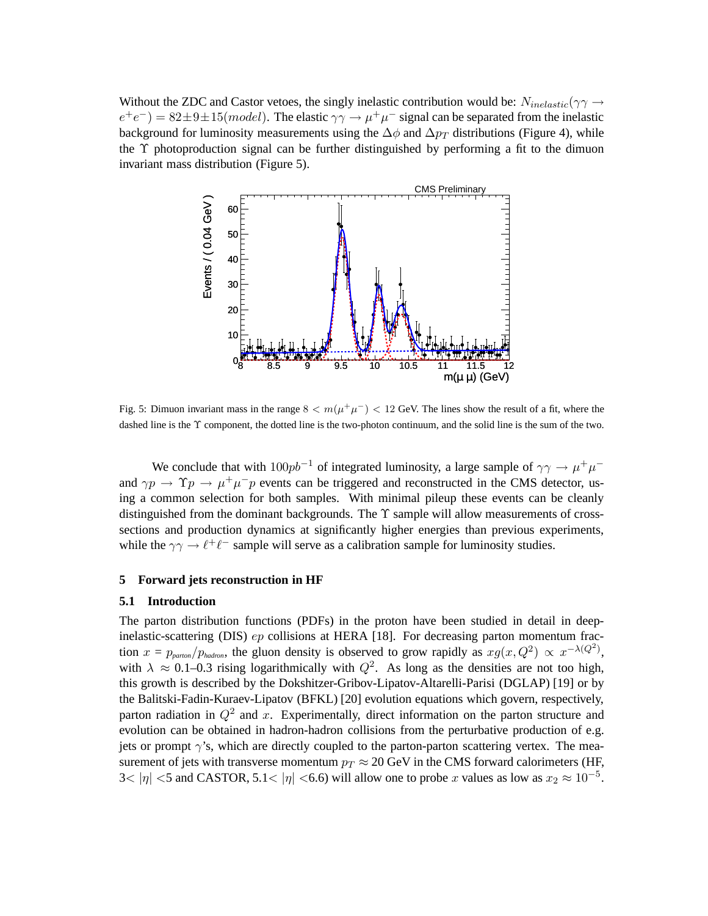Without the ZDC and Castor vetoes, the singly inelastic contribution would be:  $N_{inelastic}(\gamma \gamma \rightarrow$  $e^+e^-$ ) = 82 $\pm$ 9 $\pm$ 15(*model*). The elastic  $\gamma\gamma \to \mu^+\mu^-$  signal can be separated from the inelastic background for luminosity measurements using the  $\Delta\phi$  and  $\Delta p_T$  distributions (Figure 4), while the Υ photoproduction signal can be further distinguished by performing a fit to the dimuon invariant mass distribution (Figure 5).



Fig. 5: Dimuon invariant mass in the range  $8 < m(\mu^+\mu^-) < 12$  GeV. The lines show the result of a fit, where the dashed line is the Υ component, the dotted line is the two-photon continuum, and the solid line is the sum of the two.

We conclude that with  $100pb^{-1}$  of integrated luminosity, a large sample of  $\gamma\gamma \to \mu^+\mu^$ and  $\gamma p \to \Upsilon p \to \mu^+ \mu^- p$  events can be triggered and reconstructed in the CMS detector, using a common selection for both samples. With minimal pileup these events can be cleanly distinguished from the dominant backgrounds. The  $\Upsilon$  sample will allow measurements of crosssections and production dynamics at significantly higher energies than previous experiments, while the  $\gamma\gamma \to \ell^+\ell^-$  sample will serve as a calibration sample for luminosity studies.

## **5 Forward jets reconstruction in HF**

#### **5.1 Introduction**

The parton distribution functions (PDFs) in the proton have been studied in detail in deepinelastic-scattering (DIS) ep collisions at HERA [18]. For decreasing parton momentum fraction  $x = p_{\text{parton}}/p_{\text{hadron}}$ , the gluon density is observed to grow rapidly as  $xg(x, Q^2) \propto x^{-\lambda(Q^2)}$ , with  $\lambda \approx 0.1$ –0.3 rising logarithmically with  $Q^2$ . As long as the densities are not too high, this growth is described by the Dokshitzer-Gribov-Lipatov-Altarelli-Parisi (DGLAP) [19] or by the Balitski-Fadin-Kuraev-Lipatov (BFKL) [20] evolution equations which govern, respectively, parton radiation in  $Q^2$  and x. Experimentally, direct information on the parton structure and evolution can be obtained in hadron-hadron collisions from the perturbative production of e.g. jets or prompt  $\gamma$ 's, which are directly coupled to the parton-parton scattering vertex. The measurement of jets with transverse momentum  $p_T \approx 20 \text{ GeV}$  in the CMS forward calorimeters (HF, 3<  $|\eta|$  <5 and CASTOR, 5.1<  $|\eta|$  <6.6) will allow one to probe x values as low as  $x_2 \approx 10^{-5}$ .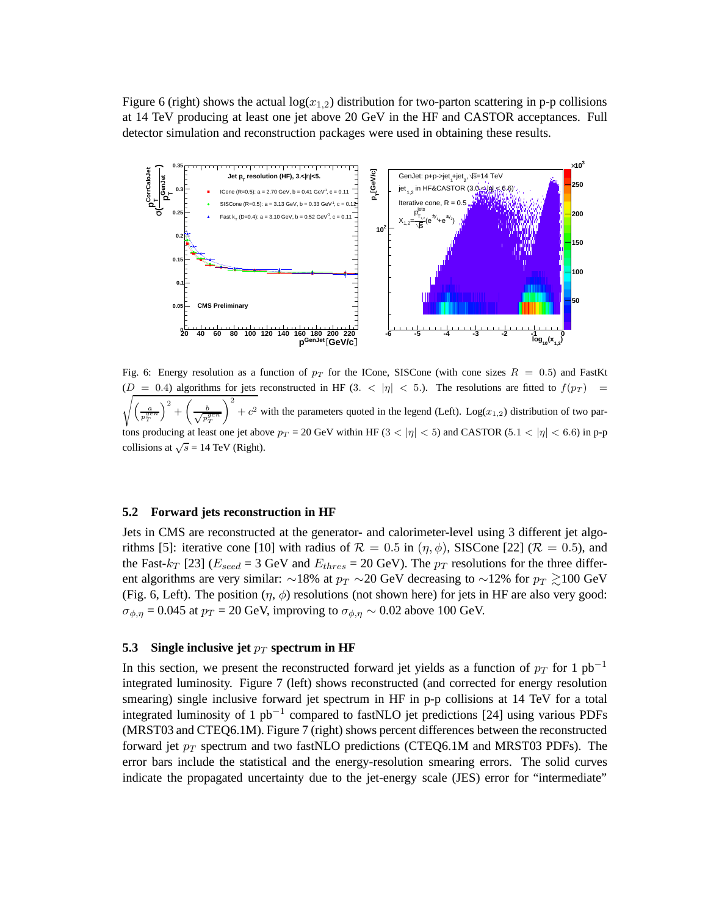Figure 6 (right) shows the actual  $log(x_{1,2})$  distribution for two-parton scattering in p-p collisions at 14 TeV producing at least one jet above 20 GeV in the HF and CASTOR acceptances. Full detector simulation and reconstruction packages were used in obtaining these results.



Fig. 6: Energy resolution as a function of  $p<sub>T</sub>$  for the ICone, SISCone (with cone sizes  $R = 0.5$ ) and FastKt ( s  $= 0.4$ ) algorithms for jets reconstructed in HF (3. <  $|\eta|$  < 5.). The resolutions are fitted to  $f(p_T)$  =  $\sqrt{ }$ a p gen T  $\setminus^2$ +  $\sqrt{2}$  $\frac{b}{\sqrt{n^2}}$ p gen T  $\setminus^2$  $+ c<sup>2</sup>$  with the parameters quoted in the legend (Left). Log( $x<sub>1,2</sub>$ ) distribution of two partons producing at least one jet above  $p_T = 20$  GeV within HF (3 <  $|\eta|$  < 5) and CASTOR (5.1 <  $|\eta|$  < 6.6) in p-p collisions at  $\sqrt{s}$  = 14 TeV (Right).

#### **5.2 Forward jets reconstruction in HF**

Jets in CMS are reconstructed at the generator- and calorimeter-level using 3 different jet algorithms [5]: iterative cone [10] with radius of  $\mathcal{R} = 0.5$  in  $(\eta, \phi)$ , SISCone [22] ( $\mathcal{R} = 0.5$ ), and the Fast- $k_T$  [23] ( $E_{seed}$  = 3 GeV and  $E_{thres}$  = 20 GeV). The  $p_T$  resolutions for the three different algorithms are very similar: ∼18% at  $p_T \sim 20$  GeV decreasing to ~12% for  $p_T \gtrsim 100$  GeV (Fig. 6, Left). The position  $(\eta, \phi)$  resolutions (not shown here) for jets in HF are also very good:  $\sigma_{\phi,\eta}$  = 0.045 at  $p_T$  = 20 GeV, improving to  $\sigma_{\phi,\eta}$  ~ 0.02 above 100 GeV.

### **5.3** Single inclusive jet  $p_T$  spectrum in HF

In this section, we present the reconstructed forward jet yields as a function of  $p<sub>T</sub>$  for 1 pb<sup>-1</sup> integrated luminosity. Figure 7 (left) shows reconstructed (and corrected for energy resolution smearing) single inclusive forward jet spectrum in HF in p-p collisions at 14 TeV for a total integrated luminosity of 1 pb<sup>-1</sup> compared to fastNLO jet predictions [24] using various PDFs (MRST03 and CTEQ6.1M). Figure 7 (right) shows percent differences between the reconstructed forward jet  $p_T$  spectrum and two fastNLO predictions (CTEQ6.1M and MRST03 PDFs). The error bars include the statistical and the energy-resolution smearing errors. The solid curves indicate the propagated uncertainty due to the jet-energy scale (JES) error for "intermediate"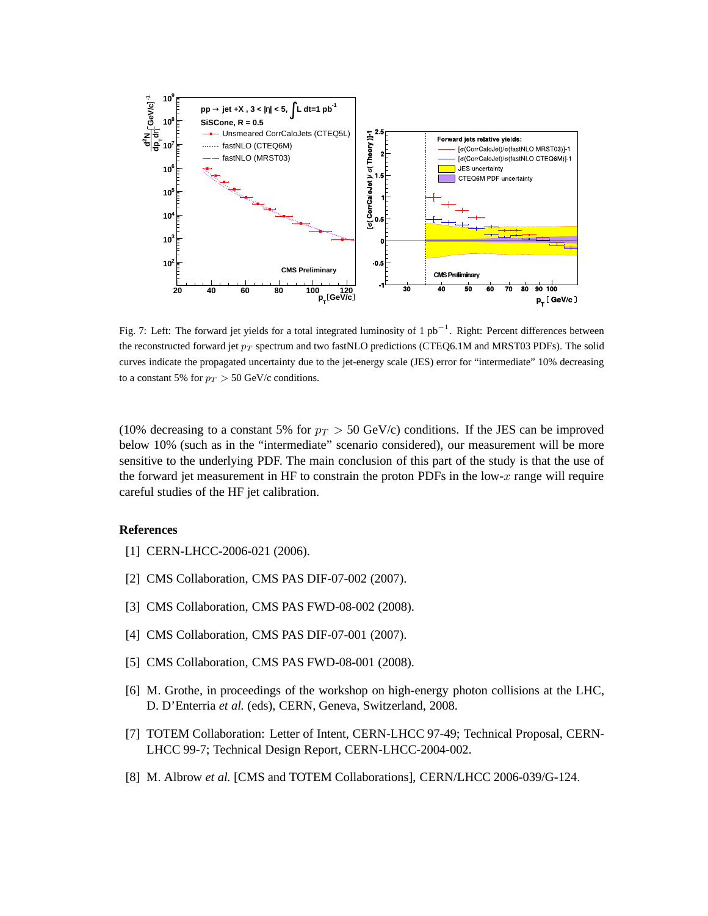

Fig. 7: Left: The forward jet yields for a total integrated luminosity of 1 pb<sup>-1</sup>. Right: Percent differences between the reconstructed forward jet  $p_T$  spectrum and two fastNLO predictions (CTEQ6.1M and MRST03 PDFs). The solid curves indicate the propagated uncertainty due to the jet-energy scale (JES) error for "intermediate" 10% decreasing to a constant 5% for  $p_T > 50$  GeV/c conditions.

(10% decreasing to a constant 5% for  $p_T > 50$  GeV/c) conditions. If the JES can be improved below 10% (such as in the "intermediate" scenario considered), our measurement will be more sensitive to the underlying PDF. The main conclusion of this part of the study is that the use of the forward jet measurement in HF to constrain the proton PDFs in the low- $x$  range will require careful studies of the HF jet calibration.

#### **References**

- [1] CERN-LHCC-2006-021 (2006).
- [2] CMS Collaboration, CMS PAS DIF-07-002 (2007).
- [3] CMS Collaboration, CMS PAS FWD-08-002 (2008).
- [4] CMS Collaboration, CMS PAS DIF-07-001 (2007).
- [5] CMS Collaboration, CMS PAS FWD-08-001 (2008).
- [6] M. Grothe, in proceedings of the workshop on high-energy photon collisions at the LHC, D. D'Enterria *et al.* (eds), CERN, Geneva, Switzerland, 2008.
- [7] TOTEM Collaboration: Letter of Intent, CERN-LHCC 97-49; Technical Proposal, CERN-LHCC 99-7; Technical Design Report, CERN-LHCC-2004-002.
- [8] M. Albrow *et al.* [CMS and TOTEM Collaborations], CERN/LHCC 2006-039/G-124.